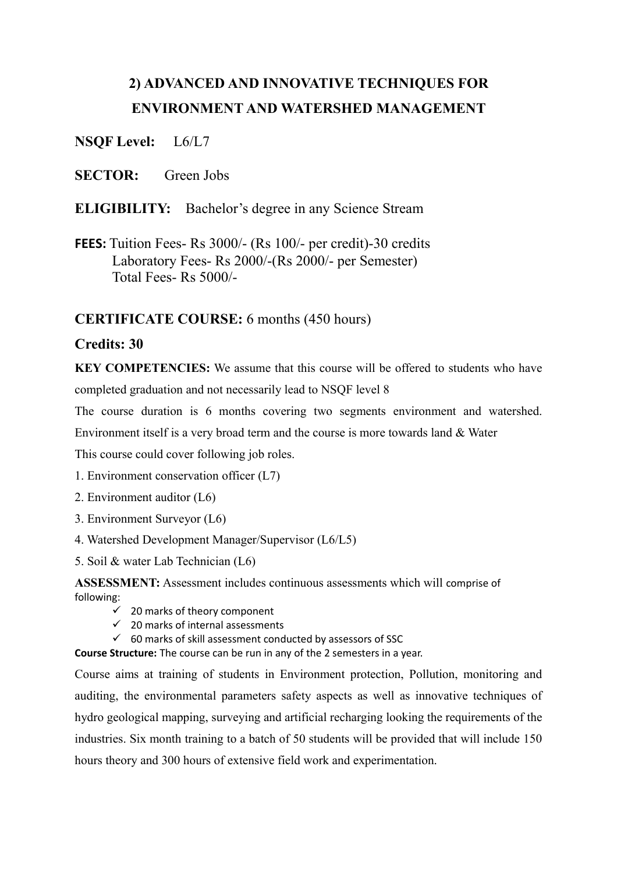# **2) ADVANCED AND INNOVATIVE TECHNIQUES FOR ENVIRONMENT AND WATERSHED MANAGEMENT**

**NSQF Level:** L6/L7

**SECTOR:** Green Jobs

# **ELIGIBILITY:** Bachelor's degree in any Science Stream

**FEES:** Tuition Fees- Rs 3000/- (Rs 100/- per credit)-30 credits Laboratory Fees- Rs 2000/-(Rs 2000/- per Semester) Total Fees- Rs 5000/-

# **CERTIFICATE COURSE:** 6 months (450 hours)

# **Credits: 30**

**KEY COMPETENCIES:** We assume that this course will be offered to students who have completed graduation and not necessarily lead to NSQF level 8

The course duration is 6 months covering two segments environment and watershed.

Environment itself is a very broad term and the course is more towards land & Water

This course could cover following job roles.

- 1. Environment conservation officer (L7)
- 2. Environment auditor (L6)
- 3. Environment Surveyor (L6)
- 4. Watershed Development Manager/Supervisor (L6/L5)
- 5. Soil & water Lab Technician (L6)

**ASSESSMENT:** Assessment includes continuous assessments which will comprise of following:

- 20 marks of theory component
- $\checkmark$  20 marks of internal assessments
- $\checkmark$  60 marks of skill assessment conducted by assessors of SSC

**Course Structure:** The course can be run in any of the 2 semesters in a year.

Course aims at training of students in Environment protection, Pollution, monitoring and auditing, the environmental parameters safety aspects as well as innovative techniques of hydro geological mapping, surveying and artificial recharging looking the requirements of the industries. Six month training to a batch of 50 students will be provided that will include 150 hours theory and 300 hours of extensive field work and experimentation.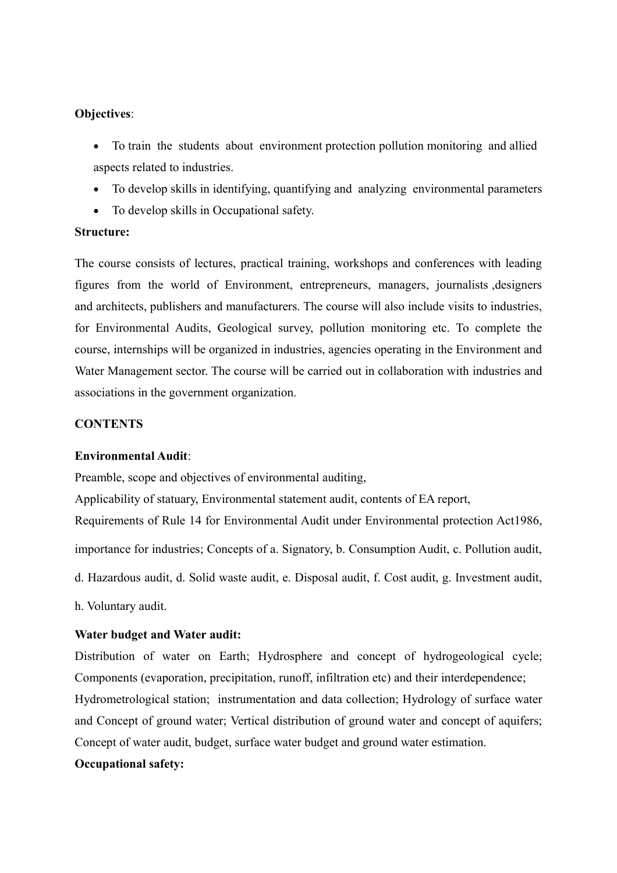#### **Objectives**:

- To train the students about environment protection pollution monitoring and allied aspects related to industries.
- To develop skills in identifying, quantifying and analyzing environmental parameters
- To develop skills in Occupational safety.

### **Structure:**

The course consists of lectures, practical training, workshops and conferences with leading figures from the world of Environment, entrepreneurs, managers, journalists ,designers and architects, publishers and manufacturers. The course will also include visits to industries, for Environmental Audits, Geological survey, pollution monitoring etc. To complete the course, internships will be organized in industries, agencies operating in the Environment and Water Management sector. The course will be carried out in collaboration with industries and associations in the government organization.

## **CONTENTS**

#### **Environmental Audit**:

Preamble, scope and objectives of environmental auditing,

Applicability of statuary, Environmental statement audit, contents of EA report,

Requirements of Rule 14 for Environmental Audit under Environmental protection Act1986,

importance for industries; Concepts of a. Signatory, b. Consumption Audit, c. Pollution audit,

d. Hazardous audit, d. Solid waste audit, e. Disposal audit, f. Cost audit, g. Investment audit,

h. Voluntary audit.

#### **Water budget and Water audit:**

Distribution of water on Earth; Hydrosphere and concept of hydrogeological cycle; Components (evaporation, precipitation, runoff, infiltration etc) and their interdependence; Hydrometrological station; instrumentation and data collection; Hydrology of surface water and Concept of ground water; Vertical distribution of ground water and concept of aquifers; Concept of water audit, budget, surface water budget and ground water estimation. **Occupational safety:**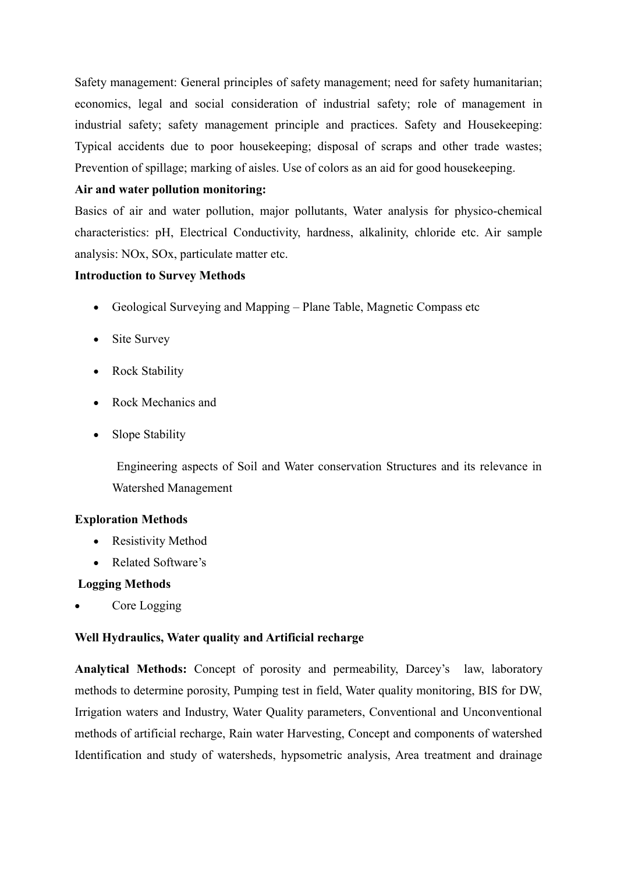Safety management: General principles of safety management; need for safety humanitarian; economics, legal and social consideration of industrial safety; role of management in industrial safety; safety management principle and practices. Safety and Housekeeping: Typical accidents due to poor housekeeping; disposal of scraps and other trade wastes; Prevention of spillage; marking of aisles. Use of colors as an aid for good housekeeping.

## **Air and water pollution monitoring:**

Basics of air and water pollution, major pollutants, Water analysis for physico-chemical characteristics: pH, Electrical Conductivity, hardness, alkalinity, chloride etc. Air sample analysis: NOx, SOx, particulate matter etc.

## **Introduction to Survey Methods**

- Geological Surveying and Mapping Plane Table, Magnetic Compass etc
- Site Survey
- Rock Stability
- Rock Mechanics and
- Slope Stability

 Engineering aspects of Soil and Water conservation Structures and its relevance in Watershed Management

# **Exploration Methods**

- Resistivity Method
- Related Software's

## **Logging Methods**

Core Logging

# **Well Hydraulics, Water quality and Artificial recharge**

**Analytical Methods:** Concept of porosity and permeability, Darcey's law, laboratory methods to determine porosity, Pumping test in field, Water quality monitoring, BIS for DW, Irrigation waters and Industry, Water Quality parameters, Conventional and Unconventional methods of artificial recharge, Rain water Harvesting, Concept and components of watershed Identification and study of watersheds, hypsometric analysis, Area treatment and drainage